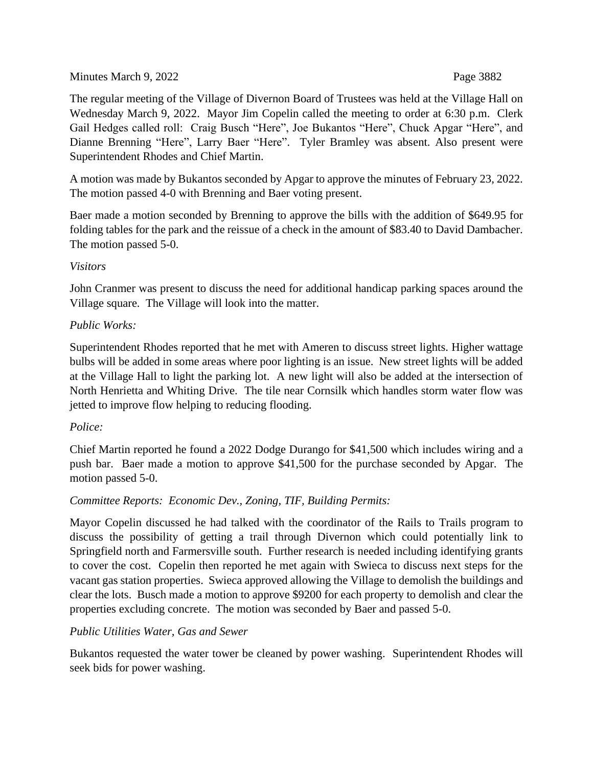## Minutes March 9, 2022 Page 3882

The regular meeting of the Village of Divernon Board of Trustees was held at the Village Hall on Wednesday March 9, 2022. Mayor Jim Copelin called the meeting to order at 6:30 p.m. Clerk Gail Hedges called roll: Craig Busch "Here", Joe Bukantos "Here", Chuck Apgar "Here", and Dianne Brenning "Here", Larry Baer "Here". Tyler Bramley was absent. Also present were Superintendent Rhodes and Chief Martin.

A motion was made by Bukantos seconded by Apgar to approve the minutes of February 23, 2022. The motion passed 4-0 with Brenning and Baer voting present.

Baer made a motion seconded by Brenning to approve the bills with the addition of \$649.95 for folding tables for the park and the reissue of a check in the amount of \$83.40 to David Dambacher. The motion passed 5-0.

### *Visitors*

John Cranmer was present to discuss the need for additional handicap parking spaces around the Village square. The Village will look into the matter.

## *Public Works:*

Superintendent Rhodes reported that he met with Ameren to discuss street lights. Higher wattage bulbs will be added in some areas where poor lighting is an issue. New street lights will be added at the Village Hall to light the parking lot. A new light will also be added at the intersection of North Henrietta and Whiting Drive. The tile near Cornsilk which handles storm water flow was jetted to improve flow helping to reducing flooding.

# *Police:*

Chief Martin reported he found a 2022 Dodge Durango for \$41,500 which includes wiring and a push bar. Baer made a motion to approve \$41,500 for the purchase seconded by Apgar. The motion passed 5-0.

# *Committee Reports: Economic Dev., Zoning, TIF, Building Permits:*

Mayor Copelin discussed he had talked with the coordinator of the Rails to Trails program to discuss the possibility of getting a trail through Divernon which could potentially link to Springfield north and Farmersville south. Further research is needed including identifying grants to cover the cost. Copelin then reported he met again with Swieca to discuss next steps for the vacant gas station properties. Swieca approved allowing the Village to demolish the buildings and clear the lots. Busch made a motion to approve \$9200 for each property to demolish and clear the properties excluding concrete. The motion was seconded by Baer and passed 5-0.

### *Public Utilities Water, Gas and Sewer*

Bukantos requested the water tower be cleaned by power washing. Superintendent Rhodes will seek bids for power washing.